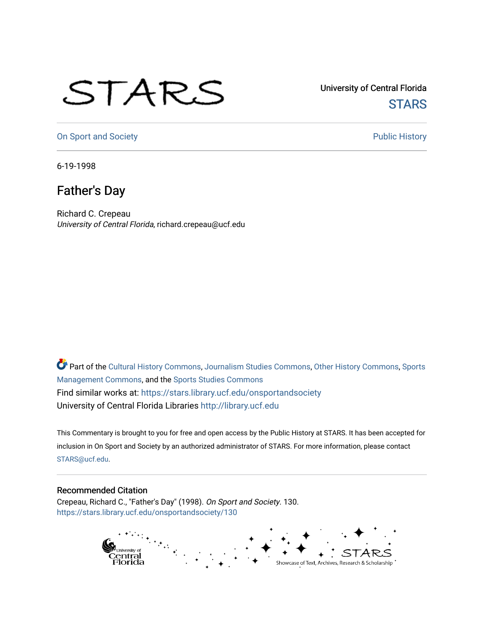## STARS

University of Central Florida **STARS** 

[On Sport and Society](https://stars.library.ucf.edu/onsportandsociety) **Public History** Public History

6-19-1998

## Father's Day

Richard C. Crepeau University of Central Florida, richard.crepeau@ucf.edu

Part of the [Cultural History Commons](http://network.bepress.com/hgg/discipline/496?utm_source=stars.library.ucf.edu%2Fonsportandsociety%2F130&utm_medium=PDF&utm_campaign=PDFCoverPages), [Journalism Studies Commons,](http://network.bepress.com/hgg/discipline/333?utm_source=stars.library.ucf.edu%2Fonsportandsociety%2F130&utm_medium=PDF&utm_campaign=PDFCoverPages) [Other History Commons,](http://network.bepress.com/hgg/discipline/508?utm_source=stars.library.ucf.edu%2Fonsportandsociety%2F130&utm_medium=PDF&utm_campaign=PDFCoverPages) [Sports](http://network.bepress.com/hgg/discipline/1193?utm_source=stars.library.ucf.edu%2Fonsportandsociety%2F130&utm_medium=PDF&utm_campaign=PDFCoverPages) [Management Commons](http://network.bepress.com/hgg/discipline/1193?utm_source=stars.library.ucf.edu%2Fonsportandsociety%2F130&utm_medium=PDF&utm_campaign=PDFCoverPages), and the [Sports Studies Commons](http://network.bepress.com/hgg/discipline/1198?utm_source=stars.library.ucf.edu%2Fonsportandsociety%2F130&utm_medium=PDF&utm_campaign=PDFCoverPages) Find similar works at: <https://stars.library.ucf.edu/onsportandsociety> University of Central Florida Libraries [http://library.ucf.edu](http://library.ucf.edu/) 

This Commentary is brought to you for free and open access by the Public History at STARS. It has been accepted for inclusion in On Sport and Society by an authorized administrator of STARS. For more information, please contact [STARS@ucf.edu](mailto:STARS@ucf.edu).

## Recommended Citation

Crepeau, Richard C., "Father's Day" (1998). On Sport and Society. 130. [https://stars.library.ucf.edu/onsportandsociety/130](https://stars.library.ucf.edu/onsportandsociety/130?utm_source=stars.library.ucf.edu%2Fonsportandsociety%2F130&utm_medium=PDF&utm_campaign=PDFCoverPages)

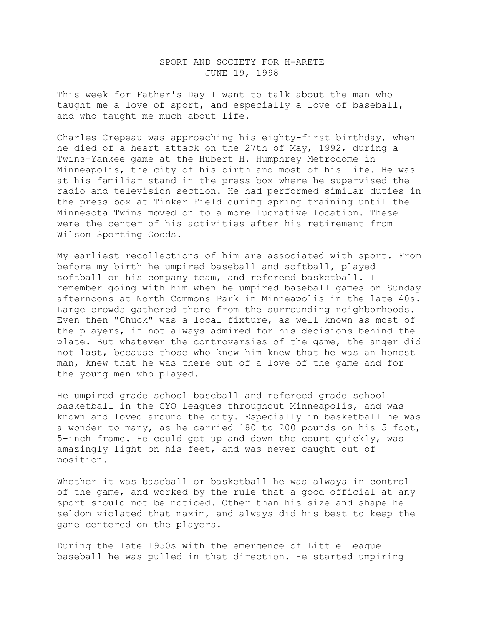## SPORT AND SOCIETY FOR H-ARETE JUNE 19, 1998

This week for Father's Day I want to talk about the man who taught me a love of sport, and especially a love of baseball, and who taught me much about life.

Charles Crepeau was approaching his eighty-first birthday, when he died of a heart attack on the 27th of May, 1992, during a Twins-Yankee game at the Hubert H. Humphrey Metrodome in Minneapolis, the city of his birth and most of his life. He was at his familiar stand in the press box where he supervised the radio and television section. He had performed similar duties in the press box at Tinker Field during spring training until the Minnesota Twins moved on to a more lucrative location. These were the center of his activities after his retirement from Wilson Sporting Goods.

My earliest recollections of him are associated with sport. From before my birth he umpired baseball and softball, played softball on his company team, and refereed basketball. I remember going with him when he umpired baseball games on Sunday afternoons at North Commons Park in Minneapolis in the late 40s. Large crowds gathered there from the surrounding neighborhoods. Even then "Chuck" was a local fixture, as well known as most of the players, if not always admired for his decisions behind the plate. But whatever the controversies of the game, the anger did not last, because those who knew him knew that he was an honest man, knew that he was there out of a love of the game and for the young men who played.

He umpired grade school baseball and refereed grade school basketball in the CYO leagues throughout Minneapolis, and was known and loved around the city. Especially in basketball he was a wonder to many, as he carried 180 to 200 pounds on his 5 foot, 5-inch frame. He could get up and down the court quickly, was amazingly light on his feet, and was never caught out of position.

Whether it was baseball or basketball he was always in control of the game, and worked by the rule that a good official at any sport should not be noticed. Other than his size and shape he seldom violated that maxim, and always did his best to keep the game centered on the players.

During the late 1950s with the emergence of Little League baseball he was pulled in that direction. He started umpiring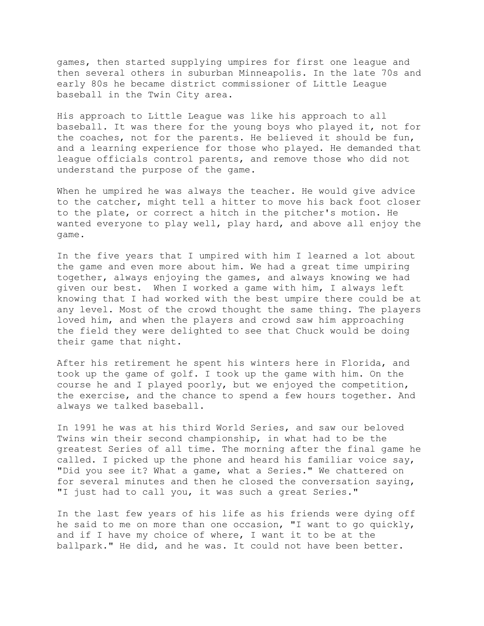games, then started supplying umpires for first one league and then several others in suburban Minneapolis. In the late 70s and early 80s he became district commissioner of Little League baseball in the Twin City area.

His approach to Little League was like his approach to all baseball. It was there for the young boys who played it, not for the coaches, not for the parents. He believed it should be fun, and a learning experience for those who played. He demanded that league officials control parents, and remove those who did not understand the purpose of the game.

When he umpired he was always the teacher. He would give advice to the catcher, might tell a hitter to move his back foot closer to the plate, or correct a hitch in the pitcher's motion. He wanted everyone to play well, play hard, and above all enjoy the game.

In the five years that I umpired with him I learned a lot about the game and even more about him. We had a great time umpiring together, always enjoying the games, and always knowing we had given our best. When I worked a game with him, I always left knowing that I had worked with the best umpire there could be at any level. Most of the crowd thought the same thing. The players loved him, and when the players and crowd saw him approaching the field they were delighted to see that Chuck would be doing their game that night.

After his retirement he spent his winters here in Florida, and took up the game of golf. I took up the game with him. On the course he and I played poorly, but we enjoyed the competition, the exercise, and the chance to spend a few hours together. And always we talked baseball.

In 1991 he was at his third World Series, and saw our beloved Twins win their second championship, in what had to be the greatest Series of all time. The morning after the final game he called. I picked up the phone and heard his familiar voice say, "Did you see it? What a game, what a Series." We chattered on for several minutes and then he closed the conversation saying, "I just had to call you, it was such a great Series."

In the last few years of his life as his friends were dying off he said to me on more than one occasion, "I want to go quickly, and if I have my choice of where, I want it to be at the ballpark." He did, and he was. It could not have been better.